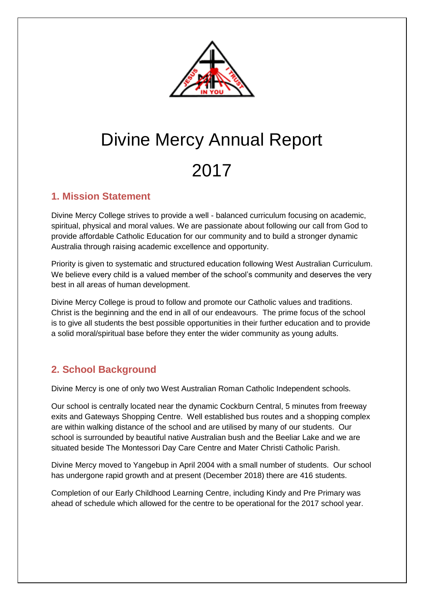

# Divine Mercy Annual Report 2017

## **1. Mission Statement**

Divine Mercy College strives to provide a well - balanced curriculum focusing on academic, spiritual, physical and moral values. We are passionate about following our call from God to provide affordable Catholic Education for our community and to build a stronger dynamic Australia through raising academic excellence and opportunity.

Priority is given to systematic and structured education following West Australian Curriculum. We believe every child is a valued member of the school's community and deserves the very best in all areas of human development.

Divine Mercy College is proud to follow and promote our Catholic values and traditions. Christ is the beginning and the end in all of our endeavours. The prime focus of the school is to give all students the best possible opportunities in their further education and to provide a solid moral/spiritual base before they enter the wider community as young adults.

# **2. School Background**

Divine Mercy is one of only two West Australian Roman Catholic Independent schools.

Our school is centrally located near the dynamic Cockburn Central, 5 minutes from freeway exits and Gateways Shopping Centre. Well established bus routes and a shopping complex are within walking distance of the school and are utilised by many of our students. Our school is surrounded by beautiful native Australian bush and the Beeliar Lake and we are situated beside The Montessori Day Care Centre and Mater Christi Catholic Parish.

Divine Mercy moved to Yangebup in April 2004 with a small number of students. Our school has undergone rapid growth and at present (December 2018) there are 416 students.

Completion of our Early Childhood Learning Centre, including Kindy and Pre Primary was ahead of schedule which allowed for the centre to be operational for the 2017 school year.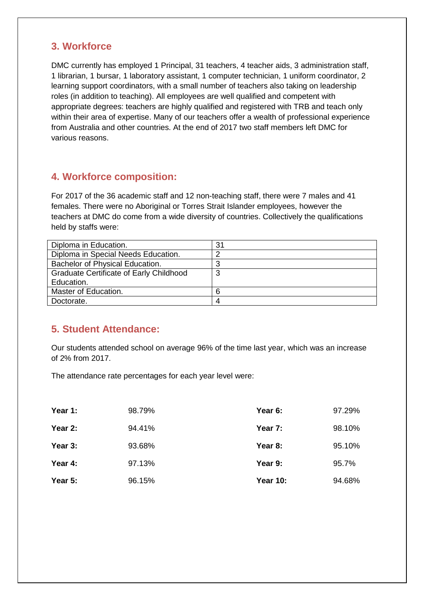## **3. Workforce**

DMC currently has employed 1 Principal, 31 teachers, 4 teacher aids, 3 administration staff, 1 librarian, 1 bursar, 1 laboratory assistant, 1 computer technician, 1 uniform coordinator, 2 learning support coordinators, with a small number of teachers also taking on leadership roles (in addition to teaching). All employees are well qualified and competent with appropriate degrees: teachers are highly qualified and registered with TRB and teach only within their area of expertise. Many of our teachers offer a wealth of professional experience from Australia and other countries. At the end of 2017 two staff members left DMC for various reasons.

## **4. Workforce composition:**

For 2017 of the 36 academic staff and 12 non-teaching staff, there were 7 males and 41 females. There were no Aboriginal or Torres Strait Islander employees, however the teachers at DMC do come from a wide diversity of countries. Collectively the qualifications held by staffs were:

| Diploma in Education.                          | 31 |
|------------------------------------------------|----|
| Diploma in Special Needs Education.            | ◠  |
| Bachelor of Physical Education.                | З  |
| <b>Graduate Certificate of Early Childhood</b> | 3  |
| Education.                                     |    |
| Master of Education.                           | 6  |
| Doctorate.                                     | 4  |

## **5. Student Attendance:**

Our students attended school on average 96% of the time last year, which was an increase of 2% from 2017.

The attendance rate percentages for each year level were:

| Year 1: | 98.79% | Year 6:         | 97.29% |
|---------|--------|-----------------|--------|
| Year 2: | 94.41% | Year 7:         | 98.10% |
| Year 3: | 93.68% | Year 8:         | 95.10% |
| Year 4: | 97.13% | Year 9:         | 95.7%  |
| Year 5: | 96.15% | <b>Year 10:</b> | 94.68% |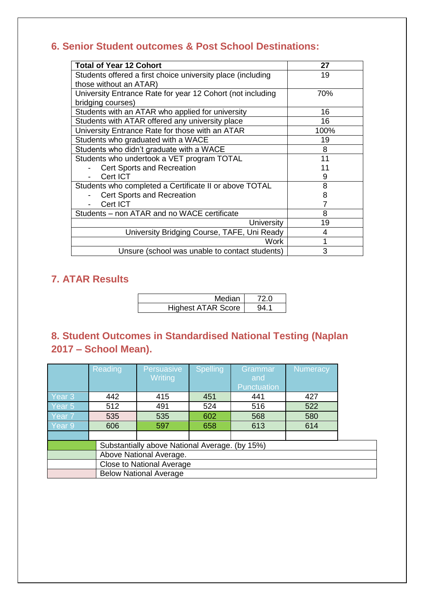# **6. Senior Student outcomes & Post School Destinations:**

| <b>Total of Year 12 Cohort</b>                              | 27   |
|-------------------------------------------------------------|------|
| Students offered a first choice university place (including | 19   |
| those without an ATAR)                                      |      |
| University Entrance Rate for year 12 Cohort (not including  | 70%  |
| bridging courses)                                           |      |
| Students with an ATAR who applied for university            | 16   |
| Students with ATAR offered any university place             | 16   |
| University Entrance Rate for those with an ATAR             | 100% |
| Students who graduated with a WACE                          | 19   |
| Students who didn't graduate with a WACE                    | 8    |
| Students who undertook a VET program TOTAL                  | 11   |
| Cert Sports and Recreation                                  | 11   |
| Cert ICT                                                    | 9    |
| Students who completed a Certificate II or above TOTAL      | 8    |
| <b>Cert Sports and Recreation</b>                           | 8    |
| Cert ICT                                                    | 7    |
| Students - non ATAR and no WACE certificate                 | 8    |
| University                                                  | 19   |
| University Bridging Course, TAFE, Uni Ready                 | 4    |
| Work                                                        | 1    |
| Unsure (school was unable to contact students)              | 3    |

# **7. ATAR Results**

| Median                    |  |
|---------------------------|--|
| <b>Highest ATAR Score</b> |  |

# **8. Student Outcomes in Standardised National Testing (Naplan 2017 – School Mean).**

|                                                | Reading                       | <b>Persuasive</b> | <b>Spelling</b> | Grammar     | <b>Numeracy</b> |  |
|------------------------------------------------|-------------------------------|-------------------|-----------------|-------------|-----------------|--|
|                                                |                               | <b>Writing</b>    |                 | and         |                 |  |
|                                                |                               |                   |                 | Punctuation |                 |  |
| Year <sub>3</sub>                              | 442                           | 415               | 451             | 441         | 427             |  |
| Year <sub>5</sub>                              | 512                           | 491               | 524             | 516         | 522             |  |
| Year <sub>7</sub>                              | 535                           | 535               | 602             | 568         | 580             |  |
| Year 9                                         | 606                           | 597               | 658             | 613         | 614             |  |
|                                                |                               |                   |                 |             |                 |  |
| Substantially above National Average. (by 15%) |                               |                   |                 |             |                 |  |
| Above National Average.                        |                               |                   |                 |             |                 |  |
| <b>Close to National Average</b>               |                               |                   |                 |             |                 |  |
|                                                | <b>Below National Average</b> |                   |                 |             |                 |  |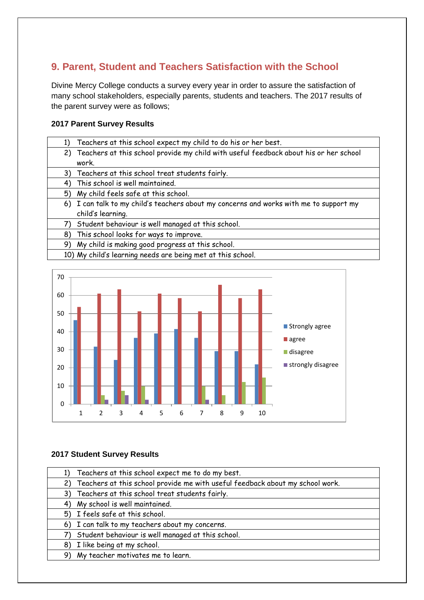# **9. Parent, Student and Teachers Satisfaction with the School**

Divine Mercy College conducts a survey every year in order to assure the satisfaction of many school stakeholders, especially parents, students and teachers. The 2017 results of the parent survey were as follows;

#### **2017 Parent Survey Results**

| 1) | Teachers at this school expect my child to do his or her best.                           |
|----|------------------------------------------------------------------------------------------|
|    | 2) Teachers at this school provide my child with useful feedback about his or her school |
|    | work.                                                                                    |
|    | 3) Teachers at this school treat students fairly.                                        |
| 4) | This school is well maintained.                                                          |
|    | 5) My child feels safe at this school.                                                   |
|    | 6) I can talk to my child's teachers about my concerns and works with me to support my   |
|    | child's learning.                                                                        |
| 7) | Student behaviour is well managed at this school.                                        |
| 8) | This school looks for ways to improve.                                                   |
| 9) | My child is making good progress at this school.                                         |
|    |                                                                                          |

10) My child's learning needs are being met at this school.



#### **2017 Student Survey Results**

| 1) Teachers at this school expect me to do my best.                              |
|----------------------------------------------------------------------------------|
| 2) Teachers at this school provide me with useful feedback about my school work. |
| 3) Teachers at this school treat students fairly.                                |
| 4) My school is well maintained.                                                 |
| 5) I feels safe at this school.                                                  |
| 6) I can talk to my teachers about my concerns.                                  |
| Student behaviour is well managed at this school.                                |
| 8) I like being at my school.                                                    |
| 9) My teacher motivates me to learn.                                             |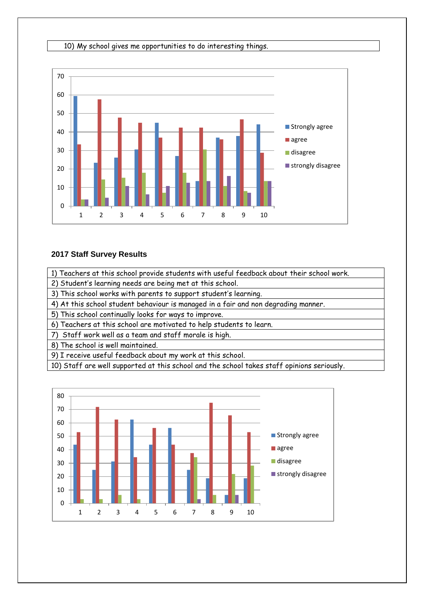#### 10) My school gives me opportunities to do interesting things.



#### **2017 Staff Survey Results**

1) Teachers at this school provide students with useful feedback about their school work.

2) Student's learning needs are being met at this school.

3) This school works with parents to support student's learning.

4) At this school student behaviour is managed in a fair and non degrading manner.

5) This school continually looks for ways to improve.

6) Teachers at this school are motivated to help students to learn.

7) Staff work well as a team and staff morale is high.

8) The school is well maintained.

9) I receive useful feedback about my work at this school.

10) Staff are well supported at this school and the school takes staff opinions seriously.

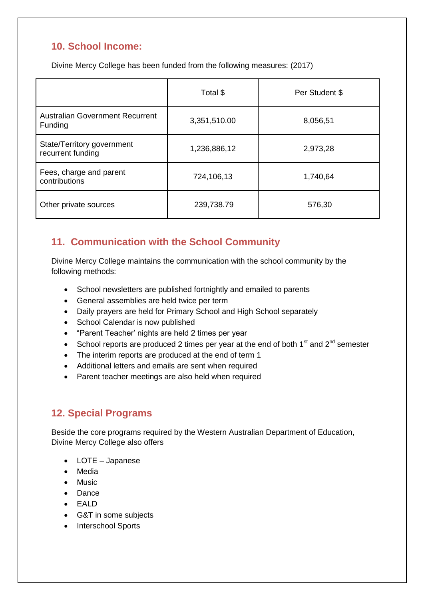# **10. School Income:**

Divine Mercy College has been funded from the following measures: (2017)

|                                                   | Total \$     | Per Student \$ |
|---------------------------------------------------|--------------|----------------|
| <b>Australian Government Recurrent</b><br>Funding | 3,351,510.00 | 8,056,51       |
| State/Territory government<br>recurrent funding   | 1,236,886,12 | 2,973,28       |
| Fees, charge and parent<br>contributions          | 724,106,13   | 1,740,64       |
| Other private sources                             | 239,738.79   | 576,30         |

## **11. Communication with the School Community**

Divine Mercy College maintains the communication with the school community by the following methods:

- School newsletters are published fortnightly and emailed to parents
- General assemblies are held twice per term
- Daily prayers are held for Primary School and High School separately
- School Calendar is now published
- "Parent Teacher' nights are held 2 times per year
- School reports are produced 2 times per year at the end of both  $1<sup>st</sup>$  and  $2<sup>nd</sup>$  semester
- The interim reports are produced at the end of term 1
- Additional letters and emails are sent when required
- Parent teacher meetings are also held when required

## **12. Special Programs**

Beside the core programs required by the Western Australian Department of Education, Divine Mercy College also offers

- LOTE Japanese
- Media
- Music
- Dance
- EALD
- G&T in some subjects
- Interschool Sports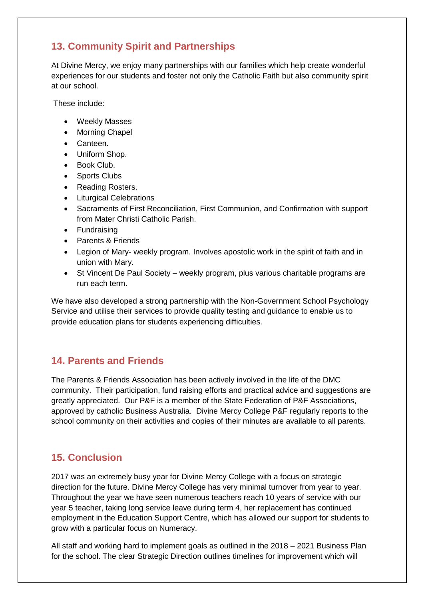# **13. Community Spirit and Partnerships**

At Divine Mercy, we enjoy many partnerships with our families which help create wonderful experiences for our students and foster not only the Catholic Faith but also community spirit at our school.

These include:

- Weekly Masses
- Morning Chapel
- Canteen.
- Uniform Shop.
- Book Club.
- Sports Clubs
- Reading Rosters.
- Liturgical Celebrations
- Sacraments of First Reconciliation, First Communion, and Confirmation with support from Mater Christi Catholic Parish.
- Fundraising
- Parents & Friends
- Legion of Mary- weekly program. Involves apostolic work in the spirit of faith and in union with Mary.
- St Vincent De Paul Society weekly program, plus various charitable programs are run each term.

We have also developed a strong partnership with the Non-Government School Psychology Service and utilise their services to provide quality testing and guidance to enable us to provide education plans for students experiencing difficulties.

## **14. Parents and Friends**

The Parents & Friends Association has been actively involved in the life of the DMC community. Their participation, fund raising efforts and practical advice and suggestions are greatly appreciated. Our P&F is a member of the State Federation of P&F Associations, approved by catholic Business Australia. Divine Mercy College P&F regularly reports to the school community on their activities and copies of their minutes are available to all parents.

## **15. Conclusion**

2017 was an extremely busy year for Divine Mercy College with a focus on strategic direction for the future. Divine Mercy College has very minimal turnover from year to year. Throughout the year we have seen numerous teachers reach 10 years of service with our year 5 teacher, taking long service leave during term 4, her replacement has continued employment in the Education Support Centre, which has allowed our support for students to grow with a particular focus on Numeracy.

All staff and working hard to implement goals as outlined in the 2018 – 2021 Business Plan for the school. The clear Strategic Direction outlines timelines for improvement which will